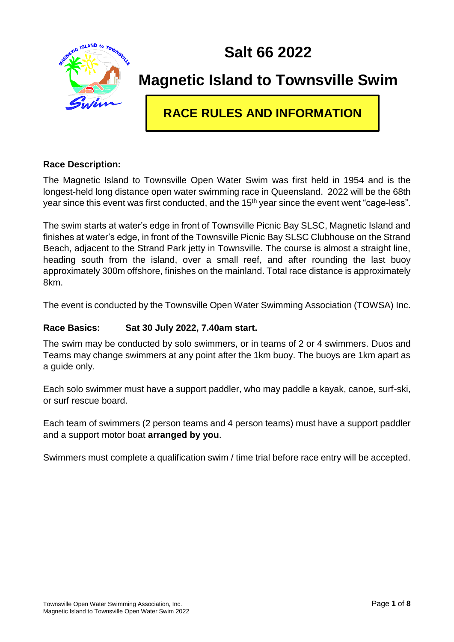**Salt 66 2022**



## **Magnetic Island to Townsville Swim**

### **RACE RULES AND INFORMATION**

#### **Race Description:**

The Magnetic Island to Townsville Open Water Swim was first held in 1954 and is the longest-held long distance open water swimming race in Queensland. 2022 will be the 68th year since this event was first conducted, and the 15<sup>th</sup> year since the event went "cage-less".

The swim starts at water's edge in front of Townsville Picnic Bay SLSC, Magnetic Island and finishes at water's edge, in front of the Townsville Picnic Bay SLSC Clubhouse on the Strand Beach, adjacent to the Strand Park jetty in Townsville. The course is almost a straight line, heading south from the island, over a small reef, and after rounding the last buoy approximately 300m offshore, finishes on the mainland. Total race distance is approximately 8km.

The event is conducted by the Townsville Open Water Swimming Association (TOWSA) Inc.

#### **Race Basics: Sat 30 July 2022, 7.40am start.**

The swim may be conducted by solo swimmers, or in teams of 2 or 4 swimmers. Duos and Teams may change swimmers at any point after the 1km buoy. The buoys are 1km apart as a guide only.

Each solo swimmer must have a support paddler, who may paddle a kayak, canoe, surf-ski, or surf rescue board.

Each team of swimmers (2 person teams and 4 person teams) must have a support paddler and a support motor boat **arranged by you**.

Swimmers must complete a qualification swim / time trial before race entry will be accepted.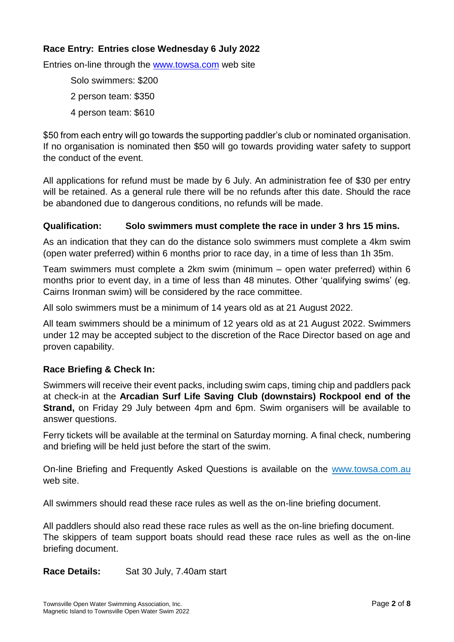#### **Race Entry: Entries close Wednesday 6 July 2022**

Entries on-line through the [www.towsa.com](http://www.towsa.com/) web site

Solo swimmers: \$200 2 person team: \$350 4 person team: \$610

\$50 from each entry will go towards the supporting paddler's club or nominated organisation. If no organisation is nominated then \$50 will go towards providing water safety to support the conduct of the event.

All applications for refund must be made by 6 July. An administration fee of \$30 per entry will be retained. As a general rule there will be no refunds after this date. Should the race be abandoned due to dangerous conditions, no refunds will be made.

#### **Qualification: Solo swimmers must complete the race in under 3 hrs 15 mins.**

As an indication that they can do the distance solo swimmers must complete a 4km swim (open water preferred) within 6 months prior to race day, in a time of less than 1h 35m.

Team swimmers must complete a 2km swim (minimum – open water preferred) within 6 months prior to event day, in a time of less than 48 minutes. Other 'qualifying swims' (eg. Cairns Ironman swim) will be considered by the race committee.

All solo swimmers must be a minimum of 14 years old as at 21 August 2022.

All team swimmers should be a minimum of 12 years old as at 21 August 2022. Swimmers under 12 may be accepted subject to the discretion of the Race Director based on age and proven capability.

#### **Race Briefing & Check In:**

Swimmers will receive their event packs, including swim caps, timing chip and paddlers pack at check-in at the **Arcadian Surf Life Saving Club (downstairs) Rockpool end of the Strand,** on Friday 29 July between 4pm and 6pm. Swim organisers will be available to answer questions.

Ferry tickets will be available at the terminal on Saturday morning. A final check, numbering and briefing will be held just before the start of the swim.

On-line Briefing and Frequently Asked Questions is available on the www.towsa.com.au web site.

All swimmers should read these race rules as well as the on-line briefing document.

All paddlers should also read these race rules as well as the on-line briefing document. The skippers of team support boats should read these race rules as well as the on-line briefing document.

**Race Details:** Sat 30 July, 7.40am start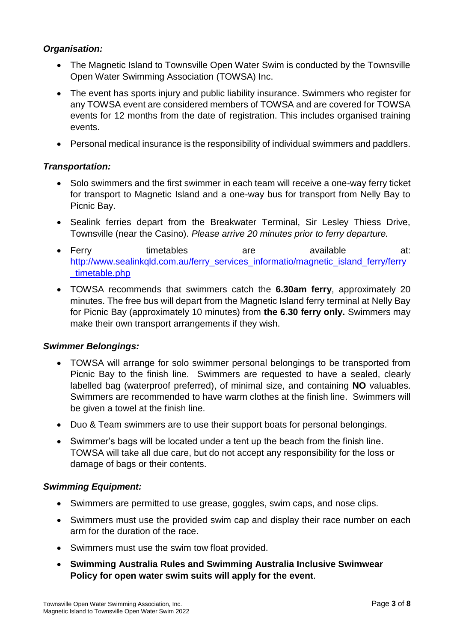#### *Organisation:*

- The Magnetic Island to Townsville Open Water Swim is conducted by the Townsville Open Water Swimming Association (TOWSA) Inc.
- The event has sports injury and public liability insurance. Swimmers who register for any TOWSA event are considered members of TOWSA and are covered for TOWSA events for 12 months from the date of registration. This includes organised training events.
- Personal medical insurance is the responsibility of individual swimmers and paddlers.

#### *Transportation:*

- Solo swimmers and the first swimmer in each team will receive a one-way ferry ticket for transport to Magnetic Island and a one-way bus for transport from Nelly Bay to Picnic Bay.
- Sealink ferries depart from the Breakwater Terminal, Sir Lesley Thiess Drive, Townsville (near the Casino). *Please arrive 20 minutes prior to ferry departure.*
- Ferry timetables are available at: [http://www.sealinkqld.com.au/ferry\\_services\\_informatio/magnetic\\_island\\_ferry/ferry](http://www.sealinkqld.com.au/ferry_services_informatio/magnetic_island_ferry/ferry_timetable.php) [\\_timetable.php](http://www.sealinkqld.com.au/ferry_services_informatio/magnetic_island_ferry/ferry_timetable.php)
- TOWSA recommends that swimmers catch the **6.30am ferry**, approximately 20 minutes. The free bus will depart from the Magnetic Island ferry terminal at Nelly Bay for Picnic Bay (approximately 10 minutes) from **the 6.30 ferry only.** Swimmers may make their own transport arrangements if they wish.

#### *Swimmer Belongings:*

- TOWSA will arrange for solo swimmer personal belongings to be transported from Picnic Bay to the finish line. Swimmers are requested to have a sealed, clearly labelled bag (waterproof preferred), of minimal size, and containing **NO** valuables. Swimmers are recommended to have warm clothes at the finish line. Swimmers will be given a towel at the finish line.
- Duo & Team swimmers are to use their support boats for personal belongings.
- Swimmer's bags will be located under a tent up the beach from the finish line. TOWSA will take all due care, but do not accept any responsibility for the loss or damage of bags or their contents.

#### *Swimming Equipment:*

- Swimmers are permitted to use grease, goggles, swim caps, and nose clips.
- Swimmers must use the provided swim cap and display their race number on each arm for the duration of the race.
- Swimmers must use the swim tow float provided.
- **Swimming Australia Rules and Swimming Australia Inclusive Swimwear Policy for open water swim suits will apply for the event**.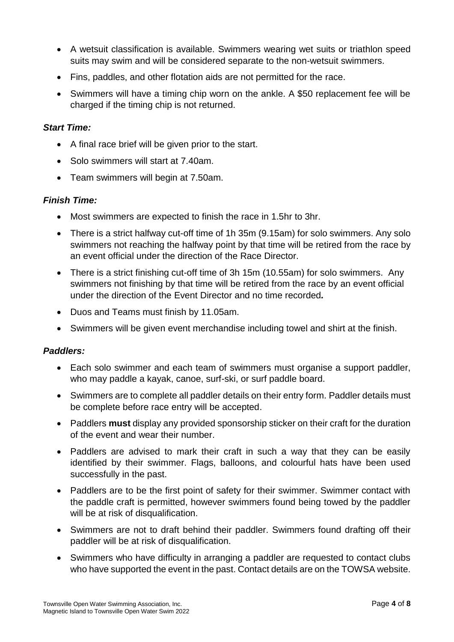- A wetsuit classification is available. Swimmers wearing wet suits or triathlon speed suits may swim and will be considered separate to the non-wetsuit swimmers.
- Fins, paddles, and other flotation aids are not permitted for the race.
- Swimmers will have a timing chip worn on the ankle. A \$50 replacement fee will be charged if the timing chip is not returned.

#### *Start Time:*

- A final race brief will be given prior to the start.
- Solo swimmers will start at 7.40am.
- Team swimmers will begin at 7.50am.

#### *Finish Time:*

- Most swimmers are expected to finish the race in 1.5hr to 3hr.
- There is a strict halfway cut-off time of 1h 35m (9.15am) for solo swimmers. Any solo swimmers not reaching the halfway point by that time will be retired from the race by an event official under the direction of the Race Director.
- There is a strict finishing cut-off time of 3h 15m (10.55am) for solo swimmers. Any swimmers not finishing by that time will be retired from the race by an event official under the direction of the Event Director and no time recorded*.*
- Duos and Teams must finish by 11.05am.
- Swimmers will be given event merchandise including towel and shirt at the finish.

#### *Paddlers:*

- Each solo swimmer and each team of swimmers must organise a support paddler, who may paddle a kayak, canoe, surf-ski, or surf paddle board.
- Swimmers are to complete all paddler details on their entry form. Paddler details must be complete before race entry will be accepted.
- Paddlers **must** display any provided sponsorship sticker on their craft for the duration of the event and wear their number.
- Paddlers are advised to mark their craft in such a way that they can be easily identified by their swimmer. Flags, balloons, and colourful hats have been used successfully in the past.
- Paddlers are to be the first point of safety for their swimmer. Swimmer contact with the paddle craft is permitted, however swimmers found being towed by the paddler will be at risk of disqualification.
- Swimmers are not to draft behind their paddler. Swimmers found drafting off their paddler will be at risk of disqualification.
- Swimmers who have difficulty in arranging a paddler are requested to contact clubs who have supported the event in the past. Contact details are on the TOWSA website.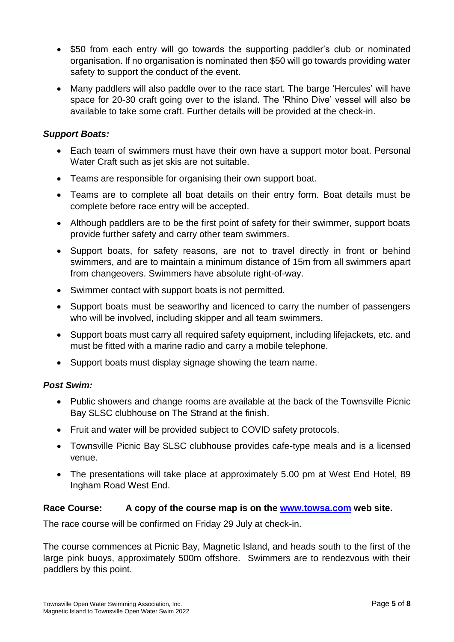- \$50 from each entry will go towards the supporting paddler's club or nominated organisation. If no organisation is nominated then \$50 will go towards providing water safety to support the conduct of the event.
- Many paddlers will also paddle over to the race start. The barge 'Hercules' will have space for 20-30 craft going over to the island. The 'Rhino Dive' vessel will also be available to take some craft. Further details will be provided at the check-in.

#### *Support Boats:*

- Each team of swimmers must have their own have a support motor boat. Personal Water Craft such as jet skis are not suitable.
- Teams are responsible for organising their own support boat.
- Teams are to complete all boat details on their entry form. Boat details must be complete before race entry will be accepted.
- Although paddlers are to be the first point of safety for their swimmer, support boats provide further safety and carry other team swimmers.
- Support boats, for safety reasons, are not to travel directly in front or behind swimmers, and are to maintain a minimum distance of 15m from all swimmers apart from changeovers. Swimmers have absolute right-of-way.
- Swimmer contact with support boats is not permitted.
- Support boats must be seaworthy and licenced to carry the number of passengers who will be involved, including skipper and all team swimmers.
- Support boats must carry all required safety equipment, including lifejackets, etc. and must be fitted with a marine radio and carry a mobile telephone.
- Support boats must display signage showing the team name.

#### *Post Swim:*

- Public showers and change rooms are available at the back of the Townsville Picnic Bay SLSC clubhouse on The Strand at the finish.
- Fruit and water will be provided subject to COVID safety protocols.
- Townsville Picnic Bay SLSC clubhouse provides cafe-type meals and is a licensed venue.
- The presentations will take place at approximately 5.00 pm at West End Hotel, 89 Ingham Road West End.

#### **Race Course: A copy of the course map is on the [www.towsa.com](http://www.towsa.com/) web site.**

The race course will be confirmed on Friday 29 July at check-in.

The course commences at Picnic Bay, Magnetic Island, and heads south to the first of the large pink buoys, approximately 500m offshore. Swimmers are to rendezvous with their paddlers by this point.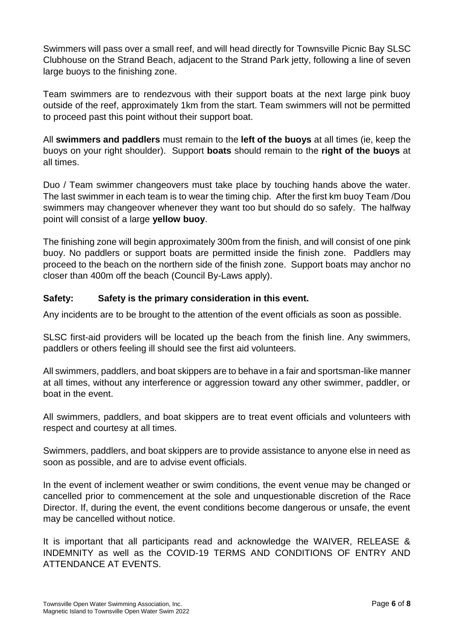Swimmers will pass over a small reef, and will head directly for Townsville Picnic Bay SLSC Clubhouse on the Strand Beach, adjacent to the Strand Park jetty, following a line of seven large buoys to the finishing zone.

Team swimmers are to rendezvous with their support boats at the next large pink buoy outside of the reef, approximately 1km from the start. Team swimmers will not be permitted to proceed past this point without their support boat.

All **swimmers and paddlers** must remain to the **left of the buoys** at all times (ie, keep the buoys on your right shoulder). Support **boats** should remain to the **right of the buoys** at all times.

Duo / Team swimmer changeovers must take place by touching hands above the water. The last swimmer in each team is to wear the timing chip. After the first km buoy Team /Dou swimmers may changeover whenever they want too but should do so safely. The halfway point will consist of a large **yellow buoy**.

The finishing zone will begin approximately 300m from the finish, and will consist of one pink buoy. No paddlers or support boats are permitted inside the finish zone. Paddlers may proceed to the beach on the northern side of the finish zone. Support boats may anchor no closer than 400m off the beach (Council By-Laws apply).

#### **Safety: Safety is the primary consideration in this event.**

Any incidents are to be brought to the attention of the event officials as soon as possible.

SLSC first-aid providers will be located up the beach from the finish line. Any swimmers, paddlers or others feeling ill should see the first aid volunteers.

All swimmers, paddlers, and boat skippers are to behave in a fair and sportsman-like manner at all times, without any interference or aggression toward any other swimmer, paddler, or boat in the event.

All swimmers, paddlers, and boat skippers are to treat event officials and volunteers with respect and courtesy at all times.

Swimmers, paddlers, and boat skippers are to provide assistance to anyone else in need as soon as possible, and are to advise event officials.

In the event of inclement weather or swim conditions, the event venue may be changed or cancelled prior to commencement at the sole and unquestionable discretion of the Race Director. If, during the event, the event conditions become dangerous or unsafe, the event may be cancelled without notice.

It is important that all participants read and acknowledge the WAIVER, RELEASE & INDEMNITY as well as the COVID-19 TERMS AND CONDITIONS OF ENTRY AND ATTENDANCE AT EVENTS.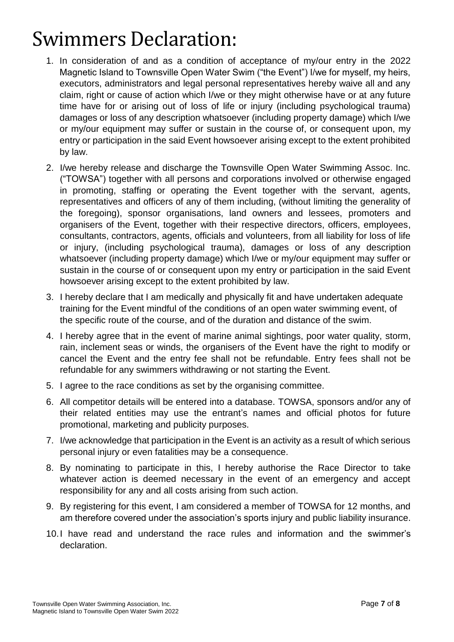# Swimmers Declaration:

- 1. In consideration of and as a condition of acceptance of my/our entry in the 2022 Magnetic Island to Townsville Open Water Swim ("the Event") I/we for myself, my heirs, executors, administrators and legal personal representatives hereby waive all and any claim, right or cause of action which I/we or they might otherwise have or at any future time have for or arising out of loss of life or injury (including psychological trauma) damages or loss of any description whatsoever (including property damage) which I/we or my/our equipment may suffer or sustain in the course of, or consequent upon, my entry or participation in the said Event howsoever arising except to the extent prohibited by law.
- 2. I/we hereby release and discharge the Townsville Open Water Swimming Assoc. Inc. ("TOWSA") together with all persons and corporations involved or otherwise engaged in promoting, staffing or operating the Event together with the servant, agents, representatives and officers of any of them including, (without limiting the generality of the foregoing), sponsor organisations, land owners and lessees, promoters and organisers of the Event, together with their respective directors, officers, employees, consultants, contractors, agents, officials and volunteers, from all liability for loss of life or injury, (including psychological trauma), damages or loss of any description whatsoever (including property damage) which I/we or my/our equipment may suffer or sustain in the course of or consequent upon my entry or participation in the said Event howsoever arising except to the extent prohibited by law.
- 3. I hereby declare that I am medically and physically fit and have undertaken adequate training for the Event mindful of the conditions of an open water swimming event, of the specific route of the course, and of the duration and distance of the swim.
- 4. I hereby agree that in the event of marine animal sightings, poor water quality, storm, rain, inclement seas or winds, the organisers of the Event have the right to modify or cancel the Event and the entry fee shall not be refundable. Entry fees shall not be refundable for any swimmers withdrawing or not starting the Event.
- 5. I agree to the race conditions as set by the organising committee.
- 6. All competitor details will be entered into a database. TOWSA, sponsors and/or any of their related entities may use the entrant's names and official photos for future promotional, marketing and publicity purposes.
- 7. I/we acknowledge that participation in the Event is an activity as a result of which serious personal injury or even fatalities may be a consequence.
- 8. By nominating to participate in this, I hereby authorise the Race Director to take whatever action is deemed necessary in the event of an emergency and accept responsibility for any and all costs arising from such action.
- 9. By registering for this event, I am considered a member of TOWSA for 12 months, and am therefore covered under the association's sports injury and public liability insurance.
- 10.I have read and understand the race rules and information and the swimmer's declaration.